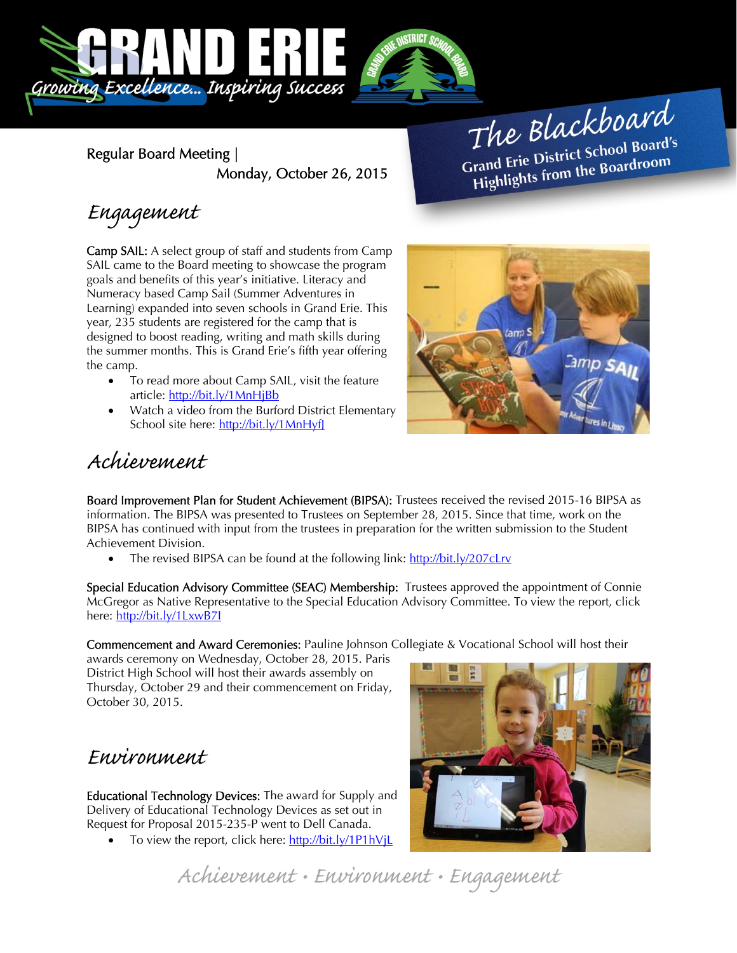

Regular Board Meeting | Monday, October 26, 2015

The Blackboard The Burnor<br>Grand Erie District School Board's<br>Little from the Boardroom rand Erie District Schoor Board<br>Highlights from the Boardroom

# Engagement

Camp SAIL: A select group of staff and students from Camp SAIL came to the Board meeting to showcase the program goals and benefits of this year's initiative. Literacy and Numeracy based Camp Sail (Summer Adventures in Learning) expanded into seven schools in Grand Erie. This year, 235 students are registered for the camp that is designed to boost reading, writing and math skills during the summer months. This is Grand Erie's fifth year offering the camp.

- To read more about Camp SAIL, visit the feature article: http://bit.ly/1MnHjBb
- Watch a video from the Burford District Elementary School site here: http://bit.ly/1MnHyfJ



## Achievement

Board Improvement Plan for Student Achievement (BIPSA): Trustees received the revised 2015-16 BIPSA as information. The BIPSA was presented to Trustees on September 28, 2015. Since that time, work on the BIPSA has continued with input from the trustees in preparation for the written submission to the Student Achievement Division.

The revised BIPSA can be found at the following link: http://bit.ly/207cLrv

Special Education Advisory Committee (SEAC) Membership: Trustees approved the appointment of Connie McGregor as Native Representative to the Special Education Advisory Committee. To view the report, click here: http://bit.ly/1LxwB7I

Commencement and Award Ceremonies: Pauline Johnson Collegiate & Vocational School will host their

awards ceremony on Wednesday, October 28, 2015. Paris District High School will host their awards assembly on Thursday, October 29 and their commencement on Friday, October 30, 2015.

### Environment

Educational Technology Devices: The award for Supply and Delivery of Educational Technology Devices as set out in Request for Proposal 2015-235-P went to Dell Canada.

To view the report, click here: http://bit.ly/1P1hVjL



Achievement • Environment • Engagement